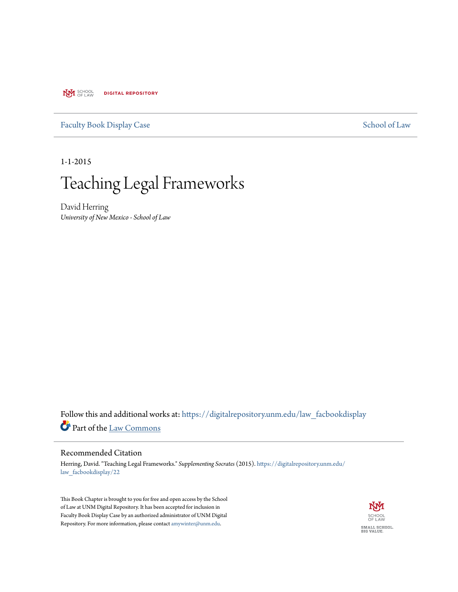**NVI** SCHOOL **DIGITAL REPOSITORY** 

## [Faculty Book Display Case](https://digitalrepository.unm.edu/law_facbookdisplay?utm_source=digitalrepository.unm.edu%2Flaw_facbookdisplay%2F22&utm_medium=PDF&utm_campaign=PDFCoverPages) [School of Law](https://digitalrepository.unm.edu/law?utm_source=digitalrepository.unm.edu%2Flaw_facbookdisplay%2F22&utm_medium=PDF&utm_campaign=PDFCoverPages)

1-1-2015

# Teaching Legal Frameworks

David Herring *University of New Mexico - School of Law*

Follow this and additional works at: [https://digitalrepository.unm.edu/law\\_facbookdisplay](https://digitalrepository.unm.edu/law_facbookdisplay?utm_source=digitalrepository.unm.edu%2Flaw_facbookdisplay%2F22&utm_medium=PDF&utm_campaign=PDFCoverPages) Part of the [Law Commons](http://network.bepress.com/hgg/discipline/578?utm_source=digitalrepository.unm.edu%2Flaw_facbookdisplay%2F22&utm_medium=PDF&utm_campaign=PDFCoverPages)

### Recommended Citation

Herring, David. "Teaching Legal Frameworks." *Supplementing Socrates* (2015). [https://digitalrepository.unm.edu/](https://digitalrepository.unm.edu/law_facbookdisplay/22?utm_source=digitalrepository.unm.edu%2Flaw_facbookdisplay%2F22&utm_medium=PDF&utm_campaign=PDFCoverPages) [law\\_facbookdisplay/22](https://digitalrepository.unm.edu/law_facbookdisplay/22?utm_source=digitalrepository.unm.edu%2Flaw_facbookdisplay%2F22&utm_medium=PDF&utm_campaign=PDFCoverPages)

This Book Chapter is brought to you for free and open access by the School of Law at UNM Digital Repository. It has been accepted for inclusion in Faculty Book Display Case by an authorized administrator of UNM Digital Repository. For more information, please contact [amywinter@unm.edu](mailto:amywinter@unm.edu).

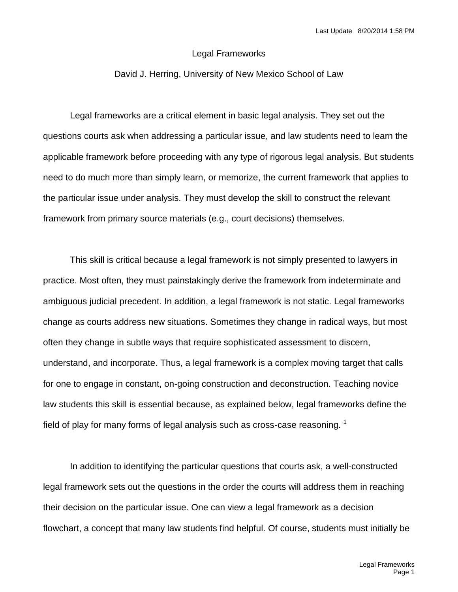### Legal Frameworks

### David J. Herring, University of New Mexico School of Law

Legal frameworks are a critical element in basic legal analysis. They set out the questions courts ask when addressing a particular issue, and law students need to learn the applicable framework before proceeding with any type of rigorous legal analysis. But students need to do much more than simply learn, or memorize, the current framework that applies to the particular issue under analysis. They must develop the skill to construct the relevant framework from primary source materials (e.g., court decisions) themselves.

This skill is critical because a legal framework is not simply presented to lawyers in practice. Most often, they must painstakingly derive the framework from indeterminate and ambiguous judicial precedent. In addition, a legal framework is not static. Legal frameworks change as courts address new situations. Sometimes they change in radical ways, but most often they change in subtle ways that require sophisticated assessment to discern, understand, and incorporate. Thus, a legal framework is a complex moving target that calls for one to engage in constant, on-going construction and deconstruction. Teaching novice law students this skill is essential because, as explained below, legal frameworks define the field of play for many forms of legal analysis such as cross-case reasoning.  $1$ 

In addition to identifying the particular questions that courts ask, a well-constructed legal framework sets out the questions in the order the courts will address them in reaching their decision on the particular issue. One can view a legal framework as a decision flowchart, a concept that many law students find helpful. Of course, students must initially be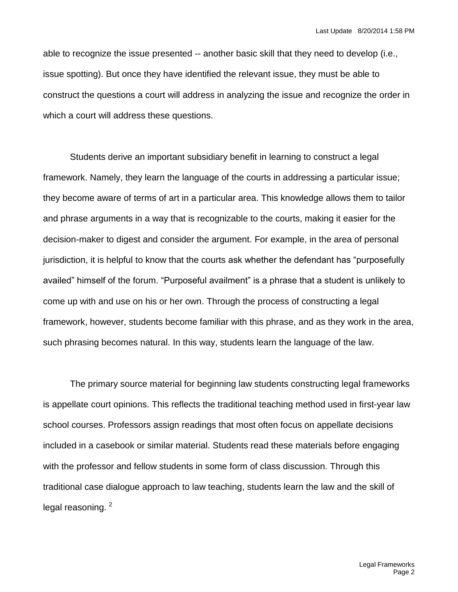able to recognize the issue presented -- another basic skill that they need to develop (i.e., issue spotting). But once they have identified the relevant issue, they must be able to construct the questions a court will address in analyzing the issue and recognize the order in which a court will address these questions.

Students derive an important subsidiary benefit in learning to construct a legal framework. Namely, they learn the language of the courts in addressing a particular issue; they become aware of terms of art in a particular area. This knowledge allows them to tailor and phrase arguments in a way that is recognizable to the courts, making it easier for the decision-maker to digest and consider the argument. For example, in the area of personal jurisdiction, it is helpful to know that the courts ask whether the defendant has "purposefully availed" himself of the forum. "Purposeful availment" is a phrase that a student is unlikely to come up with and use on his or her own. Through the process of constructing a legal framework, however, students become familiar with this phrase, and as they work in the area, such phrasing becomes natural. In this way, students learn the language of the law.

The primary source material for beginning law students constructing legal frameworks is appellate court opinions. This reflects the traditional teaching method used in first-year law school courses. Professors assign readings that most often focus on appellate decisions included in a casebook or similar material. Students read these materials before engaging with the professor and fellow students in some form of class discussion. Through this traditional case dialogue approach to law teaching, students learn the law and the skill of legal reasoning.<sup>2</sup>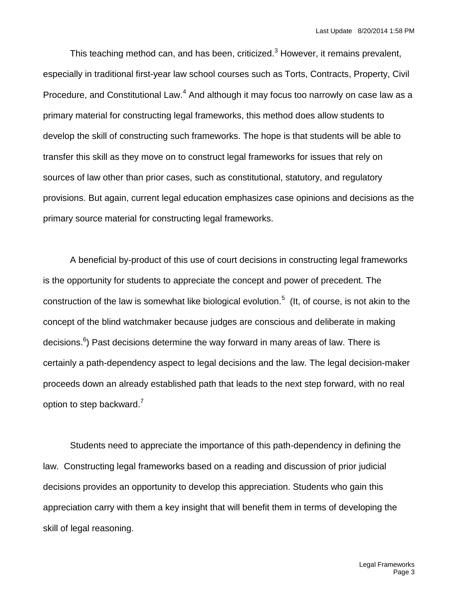This teaching method can, and has been, criticized.<sup>3</sup> However, it remains prevalent, especially in traditional first-year law school courses such as Torts, Contracts, Property, Civil Procedure, and Constitutional Law.<sup>4</sup> And although it may focus too narrowly on case law as a primary material for constructing legal frameworks, this method does allow students to develop the skill of constructing such frameworks. The hope is that students will be able to transfer this skill as they move on to construct legal frameworks for issues that rely on sources of law other than prior cases, such as constitutional, statutory, and regulatory provisions. But again, current legal education emphasizes case opinions and decisions as the primary source material for constructing legal frameworks.

A beneficial by-product of this use of court decisions in constructing legal frameworks is the opportunity for students to appreciate the concept and power of precedent. The construction of the law is somewhat like biological evolution.<sup>5</sup> (It, of course, is not akin to the concept of the blind watchmaker because judges are conscious and deliberate in making decisions.<sup>6</sup>) Past decisions determine the way forward in many areas of law. There is certainly a path-dependency aspect to legal decisions and the law. The legal decision-maker proceeds down an already established path that leads to the next step forward, with no real option to step backward.<sup>7</sup>

Students need to appreciate the importance of this path-dependency in defining the law. Constructing legal frameworks based on a reading and discussion of prior judicial decisions provides an opportunity to develop this appreciation. Students who gain this appreciation carry with them a key insight that will benefit them in terms of developing the skill of legal reasoning.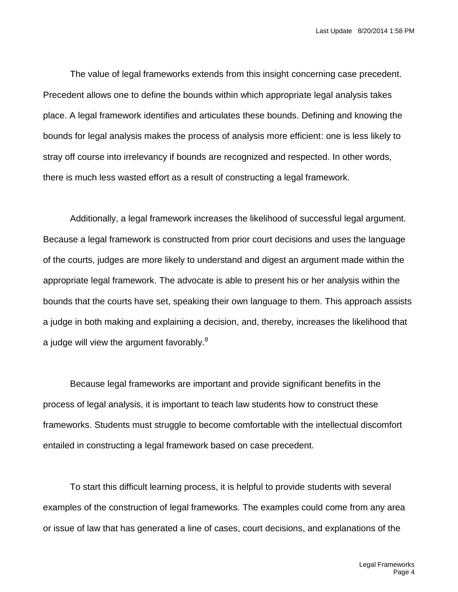The value of legal frameworks extends from this insight concerning case precedent. Precedent allows one to define the bounds within which appropriate legal analysis takes place. A legal framework identifies and articulates these bounds. Defining and knowing the bounds for legal analysis makes the process of analysis more efficient: one is less likely to stray off course into irrelevancy if bounds are recognized and respected. In other words, there is much less wasted effort as a result of constructing a legal framework.

Additionally, a legal framework increases the likelihood of successful legal argument. Because a legal framework is constructed from prior court decisions and uses the language of the courts, judges are more likely to understand and digest an argument made within the appropriate legal framework. The advocate is able to present his or her analysis within the bounds that the courts have set, speaking their own language to them. This approach assists a judge in both making and explaining a decision, and, thereby, increases the likelihood that a judge will view the argument favorably.<sup>8</sup>

Because legal frameworks are important and provide significant benefits in the process of legal analysis, it is important to teach law students how to construct these frameworks. Students must struggle to become comfortable with the intellectual discomfort entailed in constructing a legal framework based on case precedent.

To start this difficult learning process, it is helpful to provide students with several examples of the construction of legal frameworks. The examples could come from any area or issue of law that has generated a line of cases, court decisions, and explanations of the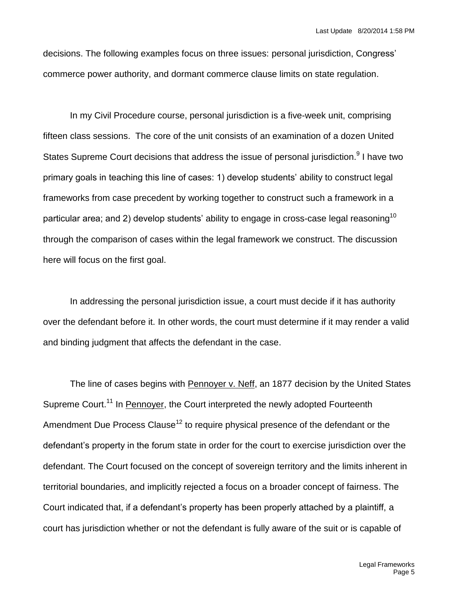decisions. The following examples focus on three issues: personal jurisdiction, Congress' commerce power authority, and dormant commerce clause limits on state regulation.

In my Civil Procedure course, personal jurisdiction is a five-week unit, comprising fifteen class sessions. The core of the unit consists of an examination of a dozen United States Supreme Court decisions that address the issue of personal jurisdiction.<sup>9</sup> I have two primary goals in teaching this line of cases: 1) develop students' ability to construct legal frameworks from case precedent by working together to construct such a framework in a particular area; and 2) develop students' ability to engage in cross-case legal reasoning<sup>10</sup> through the comparison of cases within the legal framework we construct. The discussion here will focus on the first goal.

In addressing the personal jurisdiction issue, a court must decide if it has authority over the defendant before it. In other words, the court must determine if it may render a valid and binding judgment that affects the defendant in the case.

The line of cases begins with Pennoyer v. Neff, an 1877 decision by the United States Supreme Court.<sup>11</sup> In **Pennoyer**, the Court interpreted the newly adopted Fourteenth Amendment Due Process Clause<sup>12</sup> to require physical presence of the defendant or the defendant's property in the forum state in order for the court to exercise jurisdiction over the defendant. The Court focused on the concept of sovereign territory and the limits inherent in territorial boundaries, and implicitly rejected a focus on a broader concept of fairness. The Court indicated that, if a defendant's property has been properly attached by a plaintiff, a court has jurisdiction whether or not the defendant is fully aware of the suit or is capable of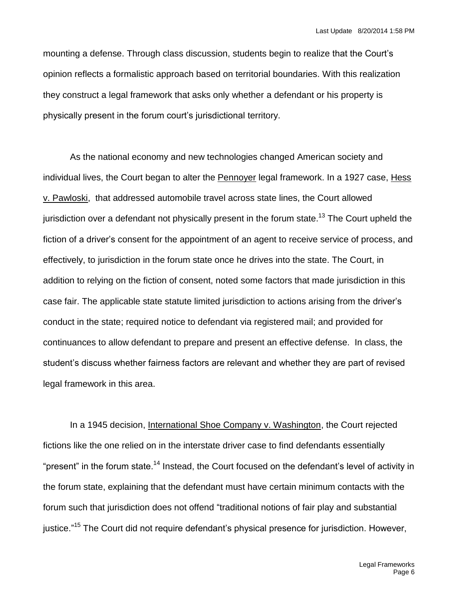mounting a defense. Through class discussion, students begin to realize that the Court's opinion reflects a formalistic approach based on territorial boundaries. With this realization they construct a legal framework that asks only whether a defendant or his property is physically present in the forum court's jurisdictional territory.

As the national economy and new technologies changed American society and individual lives, the Court began to alter the Pennoyer legal framework. In a 1927 case, Hess v. Pawloski, that addressed automobile travel across state lines, the Court allowed jurisdiction over a defendant not physically present in the forum state.<sup>13</sup> The Court upheld the fiction of a driver's consent for the appointment of an agent to receive service of process, and effectively, to jurisdiction in the forum state once he drives into the state. The Court, in addition to relying on the fiction of consent, noted some factors that made jurisdiction in this case fair. The applicable state statute limited jurisdiction to actions arising from the driver's conduct in the state; required notice to defendant via registered mail; and provided for continuances to allow defendant to prepare and present an effective defense. In class, the student's discuss whether fairness factors are relevant and whether they are part of revised legal framework in this area.

In a 1945 decision, International Shoe Company v. Washington, the Court rejected fictions like the one relied on in the interstate driver case to find defendants essentially "present" in the forum state.<sup>14</sup> Instead, the Court focused on the defendant's level of activity in the forum state, explaining that the defendant must have certain minimum contacts with the forum such that jurisdiction does not offend "traditional notions of fair play and substantial justice."<sup>15</sup> The Court did not require defendant's physical presence for jurisdiction. However,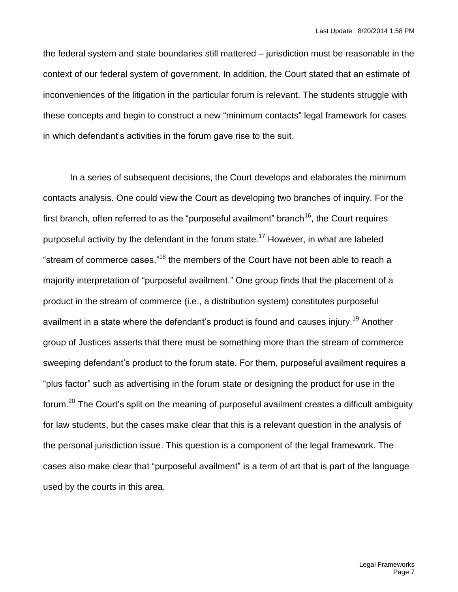the federal system and state boundaries still mattered – jurisdiction must be reasonable in the context of our federal system of government. In addition, the Court stated that an estimate of inconveniences of the litigation in the particular forum is relevant. The students struggle with these concepts and begin to construct a new "minimum contacts" legal framework for cases in which defendant's activities in the forum gave rise to the suit.

In a series of subsequent decisions, the Court develops and elaborates the minimum contacts analysis. One could view the Court as developing two branches of inquiry. For the first branch, often referred to as the "purposeful availment" branch<sup>16</sup>, the Court requires purposeful activity by the defendant in the forum state.<sup>17</sup> However, in what are labeled "stream of commerce cases,"<sup>18</sup> the members of the Court have not been able to reach a majority interpretation of "purposeful availment." One group finds that the placement of a product in the stream of commerce (i.e., a distribution system) constitutes purposeful availment in a state where the defendant's product is found and causes injury.<sup>19</sup> Another group of Justices asserts that there must be something more than the stream of commerce sweeping defendant's product to the forum state. For them, purposeful availment requires a "plus factor" such as advertising in the forum state or designing the product for use in the forum.<sup>20</sup> The Court's split on the meaning of purposeful availment creates a difficult ambiguity for law students, but the cases make clear that this is a relevant question in the analysis of the personal jurisdiction issue. This question is a component of the legal framework. The cases also make clear that "purposeful availment" is a term of art that is part of the language used by the courts in this area.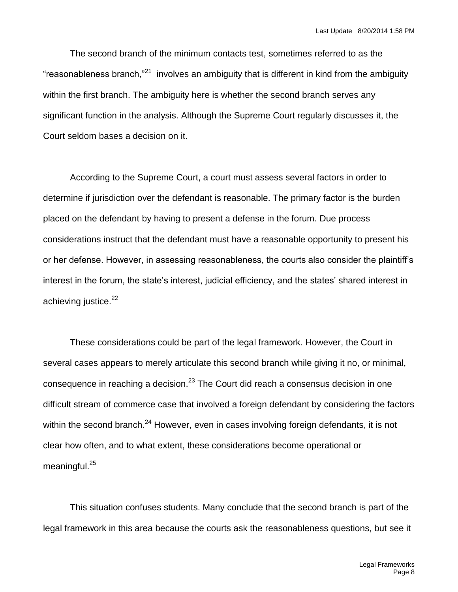The second branch of the minimum contacts test, sometimes referred to as the "reasonableness branch,"<sup>21</sup> involves an ambiguity that is different in kind from the ambiguity within the first branch. The ambiguity here is whether the second branch serves any significant function in the analysis. Although the Supreme Court regularly discusses it, the Court seldom bases a decision on it.

According to the Supreme Court, a court must assess several factors in order to determine if jurisdiction over the defendant is reasonable. The primary factor is the burden placed on the defendant by having to present a defense in the forum. Due process considerations instruct that the defendant must have a reasonable opportunity to present his or her defense. However, in assessing reasonableness, the courts also consider the plaintiff's interest in the forum, the state's interest, judicial efficiency, and the states' shared interest in achieving justice.<sup>22</sup>

These considerations could be part of the legal framework. However, the Court in several cases appears to merely articulate this second branch while giving it no, or minimal, consequence in reaching a decision. $^{23}$  The Court did reach a consensus decision in one difficult stream of commerce case that involved a foreign defendant by considering the factors within the second branch.<sup>24</sup> However, even in cases involving foreign defendants, it is not clear how often, and to what extent, these considerations become operational or meaningful.<sup>25</sup>

This situation confuses students. Many conclude that the second branch is part of the legal framework in this area because the courts ask the reasonableness questions, but see it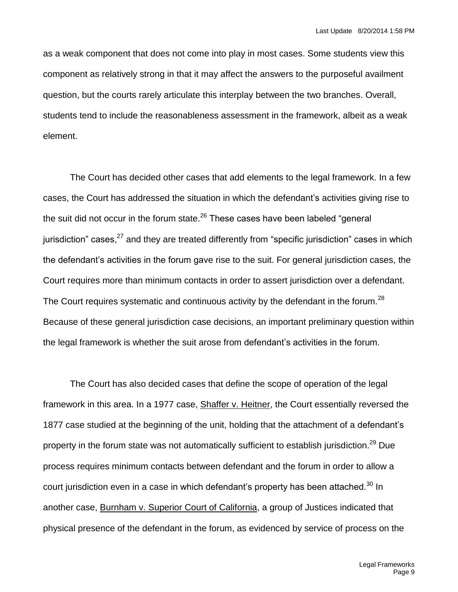as a weak component that does not come into play in most cases. Some students view this component as relatively strong in that it may affect the answers to the purposeful availment question, but the courts rarely articulate this interplay between the two branches. Overall, students tend to include the reasonableness assessment in the framework, albeit as a weak element.

The Court has decided other cases that add elements to the legal framework. In a few cases, the Court has addressed the situation in which the defendant's activities giving rise to the suit did not occur in the forum state. $^{26}$  These cases have been labeled "general jurisdiction" cases,<sup>27</sup> and they are treated differently from "specific jurisdiction" cases in which the defendant's activities in the forum gave rise to the suit. For general jurisdiction cases, the Court requires more than minimum contacts in order to assert jurisdiction over a defendant. The Court requires systematic and continuous activity by the defendant in the forum.<sup>28</sup> Because of these general jurisdiction case decisions, an important preliminary question within the legal framework is whether the suit arose from defendant's activities in the forum.

The Court has also decided cases that define the scope of operation of the legal framework in this area. In a 1977 case, Shaffer v. Heitner, the Court essentially reversed the 1877 case studied at the beginning of the unit, holding that the attachment of a defendant's property in the forum state was not automatically sufficient to establish jurisdiction.<sup>29</sup> Due process requires minimum contacts between defendant and the forum in order to allow a court jurisdiction even in a case in which defendant's property has been attached.<sup>30</sup> In another case, Burnham v. Superior Court of California, a group of Justices indicated that physical presence of the defendant in the forum, as evidenced by service of process on the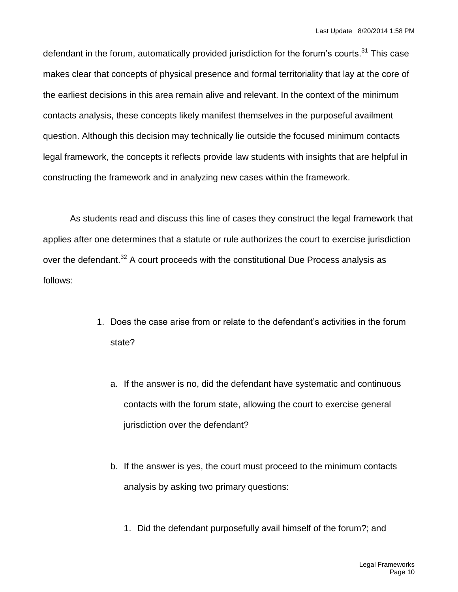defendant in the forum, automatically provided jurisdiction for the forum's courts.<sup>31</sup> This case makes clear that concepts of physical presence and formal territoriality that lay at the core of the earliest decisions in this area remain alive and relevant. In the context of the minimum contacts analysis, these concepts likely manifest themselves in the purposeful availment question. Although this decision may technically lie outside the focused minimum contacts legal framework, the concepts it reflects provide law students with insights that are helpful in constructing the framework and in analyzing new cases within the framework.

As students read and discuss this line of cases they construct the legal framework that applies after one determines that a statute or rule authorizes the court to exercise jurisdiction over the defendant.<sup>32</sup> A court proceeds with the constitutional Due Process analysis as follows:

- 1. Does the case arise from or relate to the defendant's activities in the forum state?
	- a. If the answer is no, did the defendant have systematic and continuous contacts with the forum state, allowing the court to exercise general jurisdiction over the defendant?
	- b. If the answer is yes, the court must proceed to the minimum contacts analysis by asking two primary questions:
		- 1. Did the defendant purposefully avail himself of the forum?; and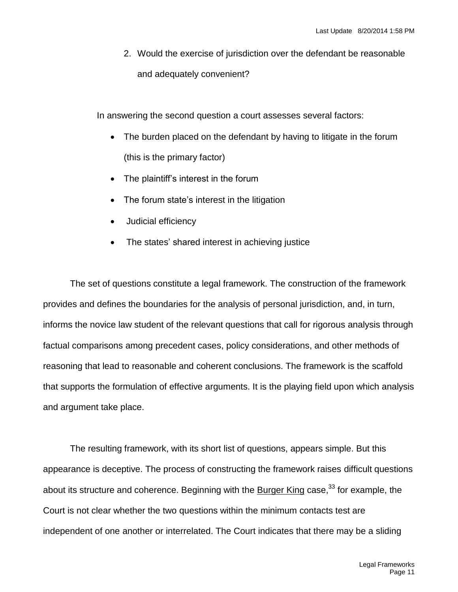2. Would the exercise of jurisdiction over the defendant be reasonable and adequately convenient?

In answering the second question a court assesses several factors:

- The burden placed on the defendant by having to litigate in the forum (this is the primary factor)
- The plaintiff's interest in the forum
- The forum state's interest in the litigation
- Judicial efficiency
- The states' shared interest in achieving justice

The set of questions constitute a legal framework. The construction of the framework provides and defines the boundaries for the analysis of personal jurisdiction, and, in turn, informs the novice law student of the relevant questions that call for rigorous analysis through factual comparisons among precedent cases, policy considerations, and other methods of reasoning that lead to reasonable and coherent conclusions. The framework is the scaffold that supports the formulation of effective arguments. It is the playing field upon which analysis and argument take place.

The resulting framework, with its short list of questions, appears simple. But this appearance is deceptive. The process of constructing the framework raises difficult questions about its structure and coherence. Beginning with the Burger King case,  $33$  for example, the Court is not clear whether the two questions within the minimum contacts test are independent of one another or interrelated. The Court indicates that there may be a sliding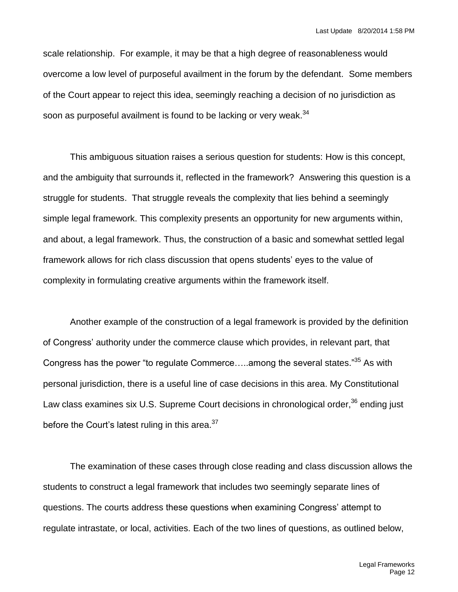scale relationship. For example, it may be that a high degree of reasonableness would overcome a low level of purposeful availment in the forum by the defendant. Some members of the Court appear to reject this idea, seemingly reaching a decision of no jurisdiction as soon as purposeful availment is found to be lacking or very weak.<sup>34</sup>

This ambiguous situation raises a serious question for students: How is this concept, and the ambiguity that surrounds it, reflected in the framework? Answering this question is a struggle for students. That struggle reveals the complexity that lies behind a seemingly simple legal framework. This complexity presents an opportunity for new arguments within, and about, a legal framework. Thus, the construction of a basic and somewhat settled legal framework allows for rich class discussion that opens students' eyes to the value of complexity in formulating creative arguments within the framework itself.

Another example of the construction of a legal framework is provided by the definition of Congress' authority under the commerce clause which provides, in relevant part, that Congress has the power "to regulate Commerce.....among the several states."<sup>35</sup> As with personal jurisdiction, there is a useful line of case decisions in this area. My Constitutional Law class examines six U.S. Supreme Court decisions in chronological order,  $36$  ending just before the Court's latest ruling in this area. $37$ 

The examination of these cases through close reading and class discussion allows the students to construct a legal framework that includes two seemingly separate lines of questions. The courts address these questions when examining Congress' attempt to regulate intrastate, or local, activities. Each of the two lines of questions, as outlined below,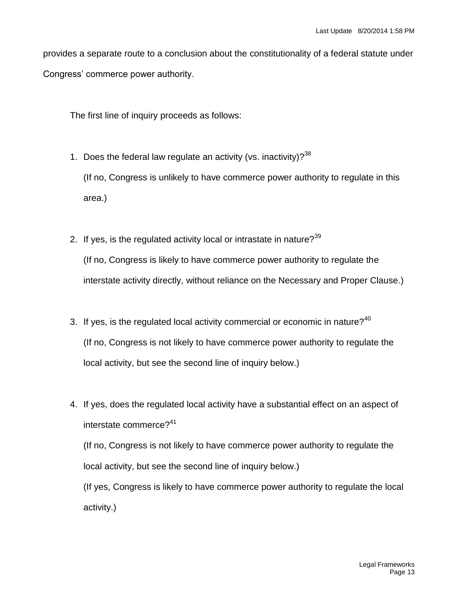provides a separate route to a conclusion about the constitutionality of a federal statute under Congress' commerce power authority.

The first line of inquiry proceeds as follows:

- 1. Does the federal law regulate an activity (vs. inactivity)?  $38$ (If no, Congress is unlikely to have commerce power authority to regulate in this area.)
- 2. If yes, is the regulated activity local or intrastate in nature?  $39$ (If no, Congress is likely to have commerce power authority to regulate the interstate activity directly, without reliance on the Necessary and Proper Clause.)
- 3. If yes, is the regulated local activity commercial or economic in nature? $40$ (If no, Congress is not likely to have commerce power authority to regulate the local activity, but see the second line of inquiry below.)
- 4. If yes, does the regulated local activity have a substantial effect on an aspect of interstate commerce?<sup>41</sup>

(If no, Congress is not likely to have commerce power authority to regulate the local activity, but see the second line of inquiry below.)

(If yes, Congress is likely to have commerce power authority to regulate the local activity.)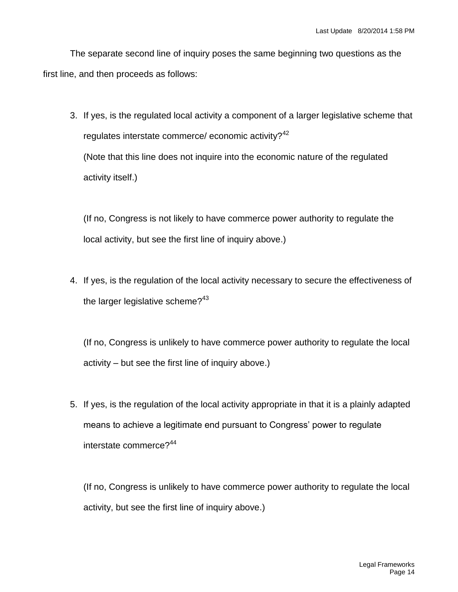The separate second line of inquiry poses the same beginning two questions as the first line, and then proceeds as follows:

3. If yes, is the regulated local activity a component of a larger legislative scheme that regulates interstate commerce/ economic activity? $42$ (Note that this line does not inquire into the economic nature of the regulated activity itself.)

(If no, Congress is not likely to have commerce power authority to regulate the local activity, but see the first line of inquiry above.)

4. If yes, is the regulation of the local activity necessary to secure the effectiveness of the larger legislative scheme? $43$ 

(If no, Congress is unlikely to have commerce power authority to regulate the local activity – but see the first line of inquiry above.)

5. If yes, is the regulation of the local activity appropriate in that it is a plainly adapted means to achieve a legitimate end pursuant to Congress' power to regulate interstate commerce?<sup>44</sup>

(If no, Congress is unlikely to have commerce power authority to regulate the local activity, but see the first line of inquiry above.)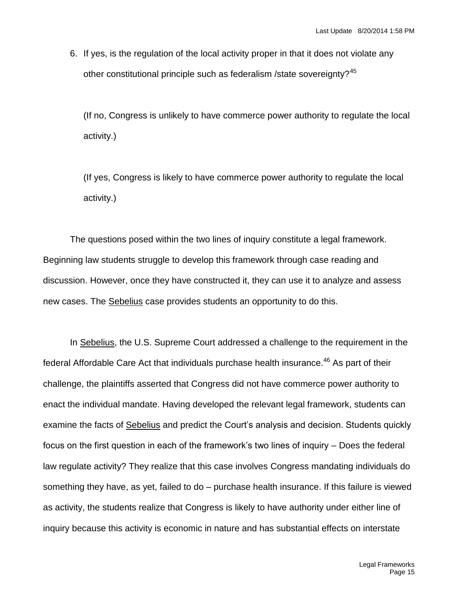6. If yes, is the regulation of the local activity proper in that it does not violate any other constitutional principle such as federalism /state sovereignty?<sup>45</sup>

(If no, Congress is unlikely to have commerce power authority to regulate the local activity.)

(If yes, Congress is likely to have commerce power authority to regulate the local activity.)

The questions posed within the two lines of inquiry constitute a legal framework. Beginning law students struggle to develop this framework through case reading and discussion. However, once they have constructed it, they can use it to analyze and assess new cases. The Sebelius case provides students an opportunity to do this.

In Sebelius, the U.S. Supreme Court addressed a challenge to the requirement in the federal Affordable Care Act that individuals purchase health insurance.<sup>46</sup> As part of their challenge, the plaintiffs asserted that Congress did not have commerce power authority to enact the individual mandate. Having developed the relevant legal framework, students can examine the facts of Sebelius and predict the Court's analysis and decision. Students quickly focus on the first question in each of the framework's two lines of inquiry – Does the federal law regulate activity? They realize that this case involves Congress mandating individuals do something they have, as yet, failed to do – purchase health insurance. If this failure is viewed as activity, the students realize that Congress is likely to have authority under either line of inquiry because this activity is economic in nature and has substantial effects on interstate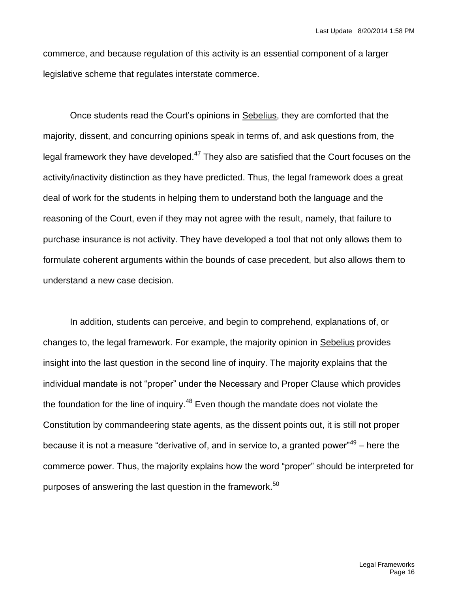commerce, and because regulation of this activity is an essential component of a larger legislative scheme that regulates interstate commerce.

Once students read the Court's opinions in Sebelius, they are comforted that the majority, dissent, and concurring opinions speak in terms of, and ask questions from, the legal framework they have developed. $47$  They also are satisfied that the Court focuses on the activity/inactivity distinction as they have predicted. Thus, the legal framework does a great deal of work for the students in helping them to understand both the language and the reasoning of the Court, even if they may not agree with the result, namely, that failure to purchase insurance is not activity. They have developed a tool that not only allows them to formulate coherent arguments within the bounds of case precedent, but also allows them to understand a new case decision.

In addition, students can perceive, and begin to comprehend, explanations of, or changes to, the legal framework. For example, the majority opinion in Sebelius provides insight into the last question in the second line of inquiry. The majority explains that the individual mandate is not "proper" under the Necessary and Proper Clause which provides the foundation for the line of inquiry.<sup>48</sup> Even though the mandate does not violate the Constitution by commandeering state agents, as the dissent points out, it is still not proper because it is not a measure "derivative of, and in service to, a granted power"<sup>49</sup> – here the commerce power. Thus, the majority explains how the word "proper" should be interpreted for purposes of answering the last question in the framework.<sup>50</sup>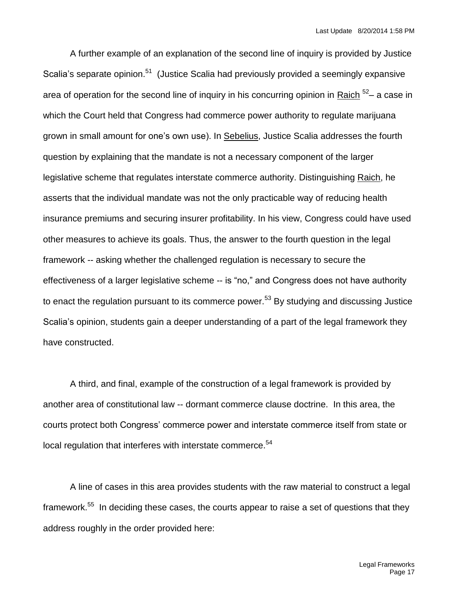A further example of an explanation of the second line of inquiry is provided by Justice Scalia's separate opinion.<sup>51</sup> (Justice Scalia had previously provided a seemingly expansive area of operation for the second line of inquiry in his concurring opinion in Raich <sup>52</sup>- a case in which the Court held that Congress had commerce power authority to regulate marijuana grown in small amount for one's own use). In Sebelius, Justice Scalia addresses the fourth question by explaining that the mandate is not a necessary component of the larger legislative scheme that regulates interstate commerce authority. Distinguishing Raich, he asserts that the individual mandate was not the only practicable way of reducing health insurance premiums and securing insurer profitability. In his view, Congress could have used other measures to achieve its goals. Thus, the answer to the fourth question in the legal framework -- asking whether the challenged regulation is necessary to secure the effectiveness of a larger legislative scheme -- is "no," and Congress does not have authority to enact the regulation pursuant to its commerce power.<sup>53</sup> By studying and discussing Justice Scalia's opinion, students gain a deeper understanding of a part of the legal framework they have constructed.

A third, and final, example of the construction of a legal framework is provided by another area of constitutional law -- dormant commerce clause doctrine. In this area, the courts protect both Congress' commerce power and interstate commerce itself from state or local regulation that interferes with interstate commerce.<sup>54</sup>

A line of cases in this area provides students with the raw material to construct a legal framework.<sup>55</sup> In deciding these cases, the courts appear to raise a set of questions that they address roughly in the order provided here: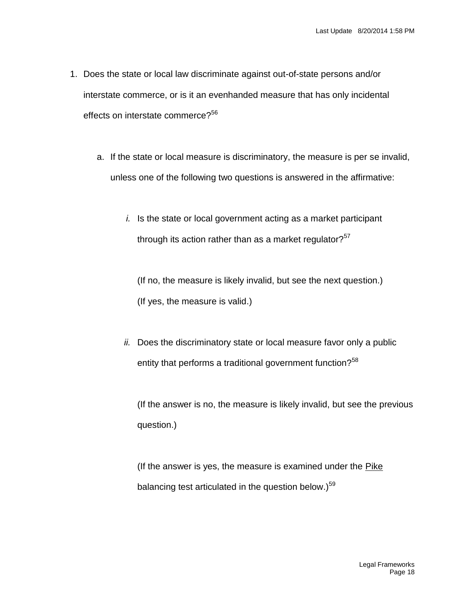- 1. Does the state or local law discriminate against out-of-state persons and/or interstate commerce, or is it an evenhanded measure that has only incidental effects on interstate commerce?<sup>56</sup>
	- a. If the state or local measure is discriminatory, the measure is per se invalid, unless one of the following two questions is answered in the affirmative:
		- *i.* Is the state or local government acting as a market participant through its action rather than as a market regulator? $57$

(If no, the measure is likely invalid, but see the next question.) (If yes, the measure is valid.)

*ii.* Does the discriminatory state or local measure favor only a public entity that performs a traditional government function?<sup>58</sup>

(If the answer is no, the measure is likely invalid, but see the previous question.)

(If the answer is yes, the measure is examined under the Pike balancing test articulated in the question below.)<sup>59</sup>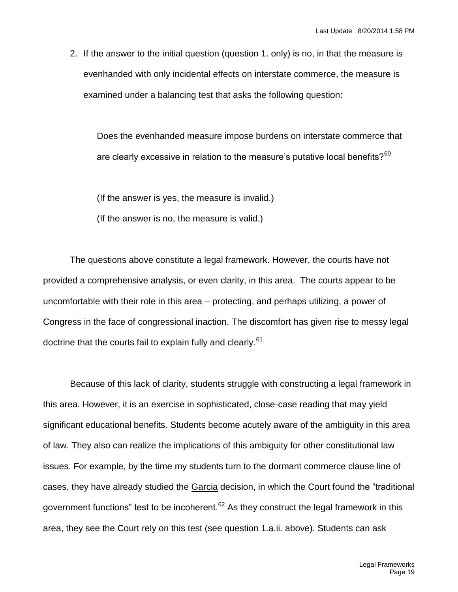2. If the answer to the initial question (question 1. only) is no, in that the measure is evenhanded with only incidental effects on interstate commerce, the measure is examined under a balancing test that asks the following question:

Does the evenhanded measure impose burdens on interstate commerce that are clearly excessive in relation to the measure's putative local benefits? $60$ 

(If the answer is yes, the measure is invalid.)

(If the answer is no, the measure is valid.)

The questions above constitute a legal framework. However, the courts have not provided a comprehensive analysis, or even clarity, in this area. The courts appear to be uncomfortable with their role in this area – protecting, and perhaps utilizing, a power of Congress in the face of congressional inaction. The discomfort has given rise to messy legal doctrine that the courts fail to explain fully and clearly.<sup>61</sup>

Because of this lack of clarity, students struggle with constructing a legal framework in this area. However, it is an exercise in sophisticated, close-case reading that may yield significant educational benefits. Students become acutely aware of the ambiguity in this area of law. They also can realize the implications of this ambiguity for other constitutional law issues. For example, by the time my students turn to the dormant commerce clause line of cases, they have already studied the Garcia decision, in which the Court found the "traditional government functions" test to be incoherent.<sup>62</sup> As they construct the legal framework in this area, they see the Court rely on this test (see question 1.a.ii. above). Students can ask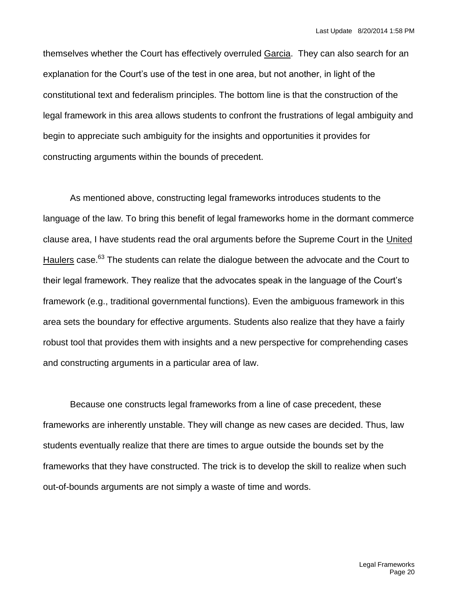themselves whether the Court has effectively overruled Garcia. They can also search for an explanation for the Court's use of the test in one area, but not another, in light of the constitutional text and federalism principles. The bottom line is that the construction of the legal framework in this area allows students to confront the frustrations of legal ambiguity and begin to appreciate such ambiguity for the insights and opportunities it provides for constructing arguments within the bounds of precedent.

As mentioned above, constructing legal frameworks introduces students to the language of the law. To bring this benefit of legal frameworks home in the dormant commerce clause area, I have students read the oral arguments before the Supreme Court in the United Haulers case.<sup>63</sup> The students can relate the dialogue between the advocate and the Court to their legal framework. They realize that the advocates speak in the language of the Court's framework (e.g., traditional governmental functions). Even the ambiguous framework in this area sets the boundary for effective arguments. Students also realize that they have a fairly robust tool that provides them with insights and a new perspective for comprehending cases and constructing arguments in a particular area of law.

Because one constructs legal frameworks from a line of case precedent, these frameworks are inherently unstable. They will change as new cases are decided. Thus, law students eventually realize that there are times to argue outside the bounds set by the frameworks that they have constructed. The trick is to develop the skill to realize when such out-of-bounds arguments are not simply a waste of time and words.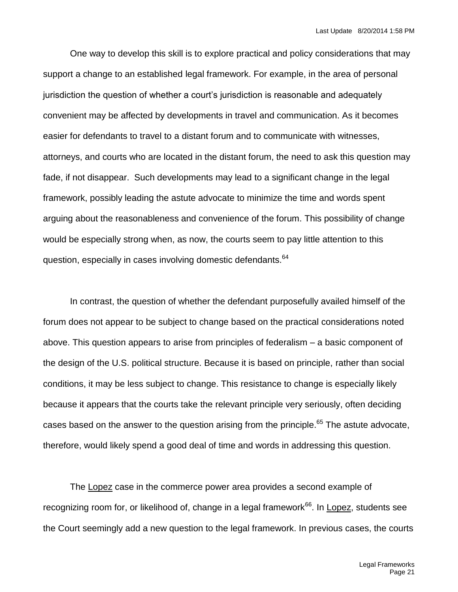One way to develop this skill is to explore practical and policy considerations that may support a change to an established legal framework. For example, in the area of personal jurisdiction the question of whether a court's jurisdiction is reasonable and adequately convenient may be affected by developments in travel and communication. As it becomes easier for defendants to travel to a distant forum and to communicate with witnesses, attorneys, and courts who are located in the distant forum, the need to ask this question may fade, if not disappear. Such developments may lead to a significant change in the legal framework, possibly leading the astute advocate to minimize the time and words spent arguing about the reasonableness and convenience of the forum. This possibility of change would be especially strong when, as now, the courts seem to pay little attention to this question, especially in cases involving domestic defendants.<sup>64</sup>

In contrast, the question of whether the defendant purposefully availed himself of the forum does not appear to be subject to change based on the practical considerations noted above. This question appears to arise from principles of federalism – a basic component of the design of the U.S. political structure. Because it is based on principle, rather than social conditions, it may be less subject to change. This resistance to change is especially likely because it appears that the courts take the relevant principle very seriously, often deciding cases based on the answer to the question arising from the principle.<sup>65</sup> The astute advocate, therefore, would likely spend a good deal of time and words in addressing this question.

The Lopez case in the commerce power area provides a second example of recognizing room for, or likelihood of, change in a legal framework<sup>66</sup>. In Lopez, students see the Court seemingly add a new question to the legal framework. In previous cases, the courts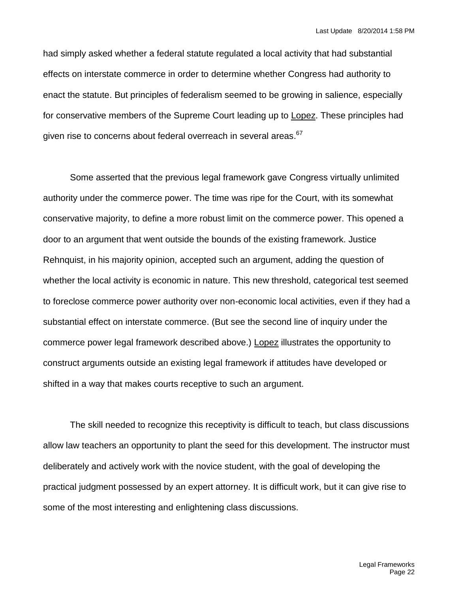had simply asked whether a federal statute regulated a local activity that had substantial effects on interstate commerce in order to determine whether Congress had authority to enact the statute. But principles of federalism seemed to be growing in salience, especially for conservative members of the Supreme Court leading up to Lopez. These principles had given rise to concerns about federal overreach in several areas.<sup>67</sup>

Some asserted that the previous legal framework gave Congress virtually unlimited authority under the commerce power. The time was ripe for the Court, with its somewhat conservative majority, to define a more robust limit on the commerce power. This opened a door to an argument that went outside the bounds of the existing framework. Justice Rehnquist, in his majority opinion, accepted such an argument, adding the question of whether the local activity is economic in nature. This new threshold, categorical test seemed to foreclose commerce power authority over non-economic local activities, even if they had a substantial effect on interstate commerce. (But see the second line of inquiry under the commerce power legal framework described above.) Lopez illustrates the opportunity to construct arguments outside an existing legal framework if attitudes have developed or shifted in a way that makes courts receptive to such an argument.

The skill needed to recognize this receptivity is difficult to teach, but class discussions allow law teachers an opportunity to plant the seed for this development. The instructor must deliberately and actively work with the novice student, with the goal of developing the practical judgment possessed by an expert attorney. It is difficult work, but it can give rise to some of the most interesting and enlightening class discussions.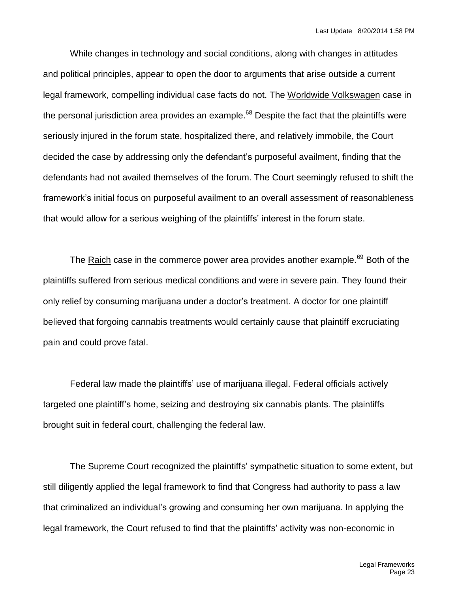While changes in technology and social conditions, along with changes in attitudes and political principles, appear to open the door to arguments that arise outside a current legal framework, compelling individual case facts do not. The Worldwide Volkswagen case in the personal jurisdiction area provides an example.<sup>68</sup> Despite the fact that the plaintiffs were seriously injured in the forum state, hospitalized there, and relatively immobile, the Court decided the case by addressing only the defendant's purposeful availment, finding that the defendants had not availed themselves of the forum. The Court seemingly refused to shift the framework's initial focus on purposeful availment to an overall assessment of reasonableness that would allow for a serious weighing of the plaintiffs' interest in the forum state.

The Raich case in the commerce power area provides another example.<sup>69</sup> Both of the plaintiffs suffered from serious medical conditions and were in severe pain. They found their only relief by consuming marijuana under a doctor's treatment. A doctor for one plaintiff believed that forgoing cannabis treatments would certainly cause that plaintiff excruciating pain and could prove fatal.

Federal law made the plaintiffs' use of marijuana illegal. Federal officials actively targeted one plaintiff's home, seizing and destroying six cannabis plants. The plaintiffs brought suit in federal court, challenging the federal law.

The Supreme Court recognized the plaintiffs' sympathetic situation to some extent, but still diligently applied the legal framework to find that Congress had authority to pass a law that criminalized an individual's growing and consuming her own marijuana. In applying the legal framework, the Court refused to find that the plaintiffs' activity was non-economic in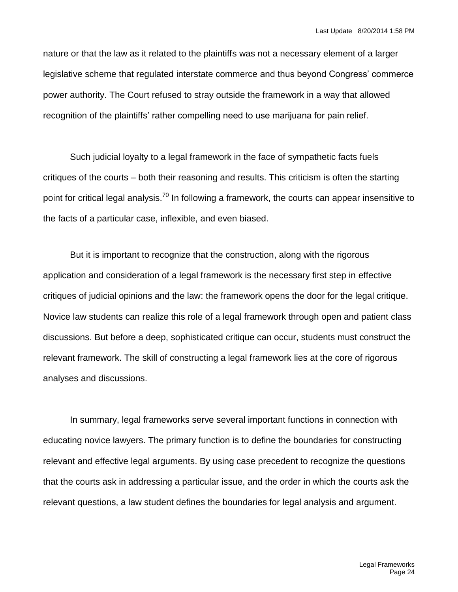nature or that the law as it related to the plaintiffs was not a necessary element of a larger legislative scheme that regulated interstate commerce and thus beyond Congress' commerce power authority. The Court refused to stray outside the framework in a way that allowed recognition of the plaintiffs' rather compelling need to use marijuana for pain relief.

Such judicial loyalty to a legal framework in the face of sympathetic facts fuels critiques of the courts – both their reasoning and results. This criticism is often the starting point for critical legal analysis.<sup>70</sup> In following a framework, the courts can appear insensitive to the facts of a particular case, inflexible, and even biased.

But it is important to recognize that the construction, along with the rigorous application and consideration of a legal framework is the necessary first step in effective critiques of judicial opinions and the law: the framework opens the door for the legal critique. Novice law students can realize this role of a legal framework through open and patient class discussions. But before a deep, sophisticated critique can occur, students must construct the relevant framework. The skill of constructing a legal framework lies at the core of rigorous analyses and discussions.

In summary, legal frameworks serve several important functions in connection with educating novice lawyers. The primary function is to define the boundaries for constructing relevant and effective legal arguments. By using case precedent to recognize the questions that the courts ask in addressing a particular issue, and the order in which the courts ask the relevant questions, a law student defines the boundaries for legal analysis and argument.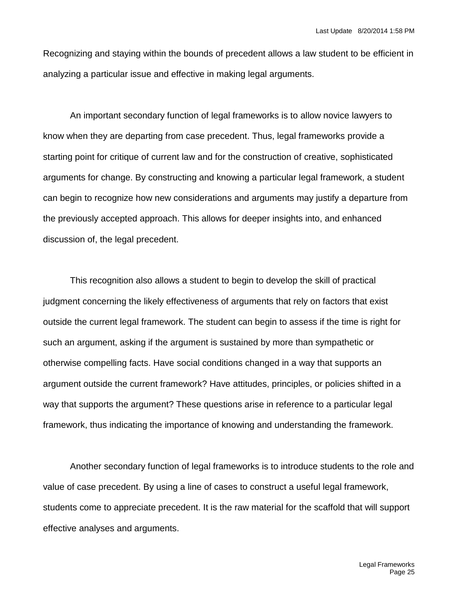Recognizing and staying within the bounds of precedent allows a law student to be efficient in analyzing a particular issue and effective in making legal arguments.

An important secondary function of legal frameworks is to allow novice lawyers to know when they are departing from case precedent. Thus, legal frameworks provide a starting point for critique of current law and for the construction of creative, sophisticated arguments for change. By constructing and knowing a particular legal framework, a student can begin to recognize how new considerations and arguments may justify a departure from the previously accepted approach. This allows for deeper insights into, and enhanced discussion of, the legal precedent.

This recognition also allows a student to begin to develop the skill of practical judgment concerning the likely effectiveness of arguments that rely on factors that exist outside the current legal framework. The student can begin to assess if the time is right for such an argument, asking if the argument is sustained by more than sympathetic or otherwise compelling facts. Have social conditions changed in a way that supports an argument outside the current framework? Have attitudes, principles, or policies shifted in a way that supports the argument? These questions arise in reference to a particular legal framework, thus indicating the importance of knowing and understanding the framework.

Another secondary function of legal frameworks is to introduce students to the role and value of case precedent. By using a line of cases to construct a useful legal framework, students come to appreciate precedent. It is the raw material for the scaffold that will support effective analyses and arguments.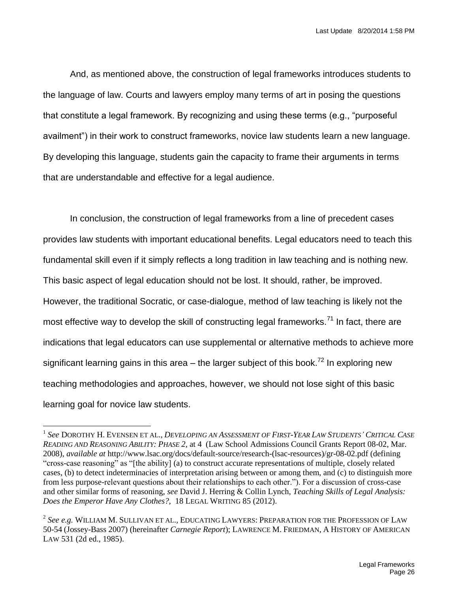And, as mentioned above, the construction of legal frameworks introduces students to the language of law. Courts and lawyers employ many terms of art in posing the questions that constitute a legal framework. By recognizing and using these terms (e.g., "purposeful availment") in their work to construct frameworks, novice law students learn a new language. By developing this language, students gain the capacity to frame their arguments in terms that are understandable and effective for a legal audience.

In conclusion, the construction of legal frameworks from a line of precedent cases provides law students with important educational benefits. Legal educators need to teach this fundamental skill even if it simply reflects a long tradition in law teaching and is nothing new. This basic aspect of legal education should not be lost. It should, rather, be improved. However, the traditional Socratic, or case-dialogue, method of law teaching is likely not the most effective way to develop the skill of constructing legal frameworks.<sup>71</sup> In fact, there are indications that legal educators can use supplemental or alternative methods to achieve more significant learning gains in this area  $-$  the larger subject of this book.<sup>72</sup> In exploring new teaching methodologies and approaches, however, we should not lose sight of this basic learning goal for novice law students.

l

 $^1$  See DOROTHY H. EVENSEN ET AL., DEVELOPING AN ASSESSMENT OF FIRST-YEAR LAW STUDENTS' CRITICAL CASE *READING AND REASONING ABILITY: PHASE 2,* at 4(Law School Admissions Council Grants Report 08-02, Mar. 2008), *available at* http://www.lsac.org/docs/default-source/research-(lsac-resources)/gr-08-02.pdf (defining "cross-case reasoning" as "[the ability] (a) to construct accurate representations of multiple, closely related cases, (b) to detect indeterminacies of interpretation arising between or among them, and (c) to distinguish more from less purpose-relevant questions about their relationships to each other."). For a discussion of cross-case and other similar forms of reasoning, *see* David J. Herring & Collin Lynch, *Teaching Skills of Legal Analysis: Does the Emperor Have Any Clothes?,* 18 LEGAL WRITING 85 (2012).

<sup>2</sup> *See e.g.* WILLIAM M. SULLIVAN ET AL., EDUCATING LAWYERS: PREPARATION FOR THE PROFESSION OF LAW 50-54 (Jossey-Bass 2007) (hereinafter *Carnegie Report*); LAWRENCE M. FRIEDMAN, A HISTORY OF AMERICAN LAW 531 (2d ed., 1985).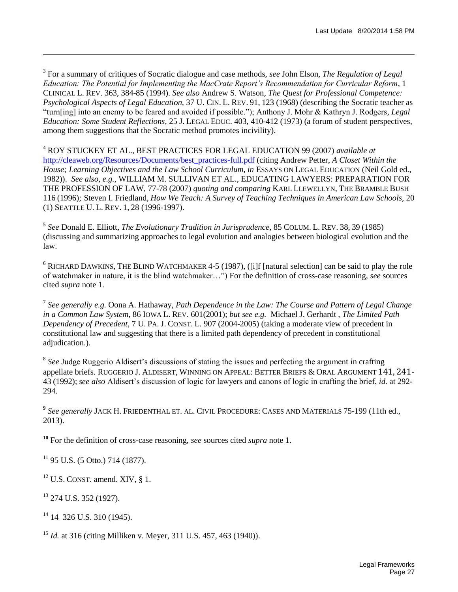3 For a summary of critiques of Socratic dialogue and case methods, *see* John Elson, *The Regulation of Legal Education: The Potential for Implementing the MacCrate Report's Recommendation for Curricular Reform*, 1 CLINICAL L. REV. 363, 384-85 (1994). *See also* Andrew S. Watson*, The Quest for Professional Competence: Psychological Aspects of Legal Education,* 37 U. CIN. L. REV. 91, 123 (1968) (describing the Socratic teacher as "turn[ing] into an enemy to be feared and avoided if possible."); Anthony J. Mohr & Kathryn J. Rodgers*, Legal Education: Some Student Reflections,* 25 J. LEGAL EDUC. 403, 410-412 (1973) (a forum of student perspectives, among them suggestions that the Socratic method promotes incivility).

<sup>4</sup> ROY STUCKEY ET AL., BEST PRACTICES FOR LEGAL EDUCATION 99 (2007) *available at*  [http://cleaweb.org/Resources/Documents/best\\_practices-full.pdf](http://cleaweb.org/Resources/Documents/best_practices-full.pdf) (citing Andrew Petter, *A Closet Within the House: Learning Objectives and the Law School Curriculum, in ESSAYS ON LEGAL EDUCATION (Neil Gold ed.,* 1982)). *See also, e.g.*, WILLIAM M. SULLIVAN ET AL., EDUCATING LAWYERS: PREPARATION FOR THE PROFESSION OF LAW, 77-78 (2007) *quoting and comparing* KARL LLEWELLYN, THE BRAMBLE BUSH 116 (1996)*;* Steven I. Friedland, *How We Teach: A Survey of Teaching Techniques in American Law Schools,* 20 (1) SEATTLE U. L. REV. 1, 28 (1996-1997).

5 *See* Donald E. Elliott, *The Evolutionary Tradition in Jurisprudence,* 85 COLUM. L. REV. 38, 39 (1985) (discussing and summarizing approaches to legal evolution and analogies between biological evolution and the law.

 $6$  RICHARD DAWKINS, THE BLIND WATCHMAKER 4-5 (1987), ([i]f [natural selection] can be said to play the role of watchmaker in nature, it is the blind watchmaker…") For the definition of cross-case reasoning, *see* sources cited *supra* note 1.

7 *See generally e.g.* Oona A. Hathaway, *Path Dependence in the Law: The Course and Pattern of Legal Change in a Common Law System*, 86 IOWA L. REV. 601(2001); *but see e.g.* Michael J. Gerhardt , *The Limited Path Dependency of Precedent*, 7 U. PA. J. CONST. L. 907 (2004-2005) (taking a moderate view of precedent in constitutional law and suggesting that there is a limited path dependency of precedent in constitutional adjudication.).

<sup>8</sup> See Judge Ruggerio Aldisert's discussions of stating the issues and perfecting the argument in crafting appellate briefs. RUGGERIO J. ALDISERT, WINNING ON APPEAL: BETTER BRIEFS & ORAL ARGUMENT 141, 241- 43 (1992); *see also* Aldisert's discussion of logic for lawyers and canons of logic in crafting the brief, *id.* at 292- 294.

**9** *See generally* JACK H. FRIEDENTHAL ET. AL. CIVIL PROCEDURE: CASES AND MATERIALS 75-199 (11th ed., 2013).

**<sup>10</sup>** For the definition of cross-case reasoning, *see* sources cited *supra* note 1.

 $11$  95 U.S. (5 Otto.) 714 (1877).

 $12$  U.S. CONST. amend. XIV, § 1.

 $13$  274 U.S. 352 (1927).

l

 $14$  14 326 U.S. 310 (1945).

<sup>15</sup> *Id.* at 316 (citing Milliken v. Meyer, 311 U.S. 457, 463 (1940)).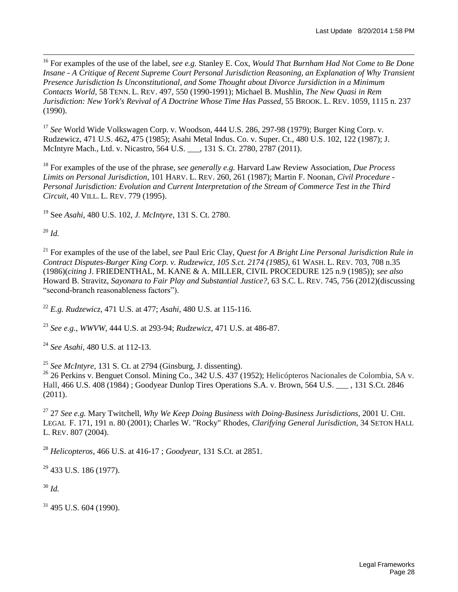<sup>16</sup> For examples of the use of the label, *see e.g.* Stanley E. Cox, *Would That Burnham Had Not Come to Be Done Insane - A Critique of Recent Supreme Court Personal Jurisdiction Reasoning, an Explanation of Why Transient Presence Jurisdiction Is Unconstitutional, and Some Thought about Divorce Jursidiction in a Minimum Contacts World,* 58 TENN. L. REV. 497, 550 (1990-1991); Michael B. Mushlin, *The New Quasi in Rem Jurisdiction: New York's Revival of A Doctrine Whose Time Has Passed*, 55 BROOK. L. REV. 1059, 1115 n. 237 (1990).

<sup>17</sup> *See* World Wide Volkswagen Corp. v. Woodson, 444 U.S. 286, 297-98 (1979); Burger King Corp. v. Rudzewicz, 471 U.S. 462**,** 475 (1985); Asahi Metal Indus. Co. v. Super. Ct., 480 U.S. 102, 122 (1987); J. McIntyre Mach., Ltd. v. Nicastro, 564 U.S. \_\_\_, 131 S. Ct. 2780, 2787 (2011).

<sup>18</sup> For examples of the use of the phrase, s*ee generally e.g.* Harvard Law Review Association, *Due Process Limits on Personal Jurisdiction*, 101 HARV. L. REV. 260, 261 (1987); Martin F. Noonan*, Civil Procedure - Personal Jurisdiction: Evolution and Current Interpretation of the Stream of Commerce Test in the Third Circuit*, 40 VILL. L. REV. 779 (1995).

<sup>19</sup> See *Asahi,* 480 U.S. 102, *J. McIntyre*, 131 S. Ct. 2780.

 $^{20}$  *Id.* 

l

<sup>21</sup> For examples of the use of the label, *see* Paul Eric Clay, *Quest for A Bright Line Personal Jurisdiction Rule in Contract Disputes-Burger King Corp. v. Rudzewicz, 105 S.ct. 2174 (1985),* 61 WASH. L. REV. 703, 708 n.35 (1986)(*citing* J. FRIEDENTHAL, M. KANE & A. MILLER, CIVIL PROCEDURE 125 n.9 (1985)); *see also* Howard B. Stravitz, *Sayonara to Fair Play and Substantial Justice?*, 63 S.C. L. REV. 745, 756 (2012)(discussing "second-branch reasonableness factors").

<sup>22</sup> *E.g. Rudzewicz*, 471 U.S. at 477; *Asahi*, 480 U.S. at 115-116.

<sup>23</sup> *See e.g.*, *WWVW*, 444 U.S. at 293-94; *Rudzewicz,* 471 U.S. at 486-87.

<sup>24</sup> *See Asahi,* 480 U.S. at 112-13.

<sup>25</sup> *See McIntyre*, 131 S. Ct. at 2794 (Ginsburg, J. dissenting).

<sup>26</sup> 26 Perkins v. Benguet Consol. Mining Co., 342 U.S. 437 (1952); Helicópteros Nacionales de Colombia, SA v. Hall, 466 U.S. 408 (1984) ; Goodyear Dunlop Tires Operations S.A. v. Brown, 564 U.S. \_\_\_ , 131 S.Ct. 2846 (2011).

<sup>27</sup> 27 *See e.g.* Mary Twitchell, *Why We Keep Doing Business with Doing-Business Jurisdictions,* 2001 U. CHI. LEGAL F. 171, 191 n. 80 (2001); Charles W. "Rocky" Rhodes, *Clarifying General Jurisdiction,* 34 SETON HALL L. REV. 807 (2004).

<sup>28</sup> *Helicopteros*, 466 U.S. at 416-17 ; *Goodyear,* 131 S.Ct. at 2851.

 $29$  433 U.S. 186 (1977).

<sup>30</sup> *Id.*

 $31$  495 U.S. 604 (1990).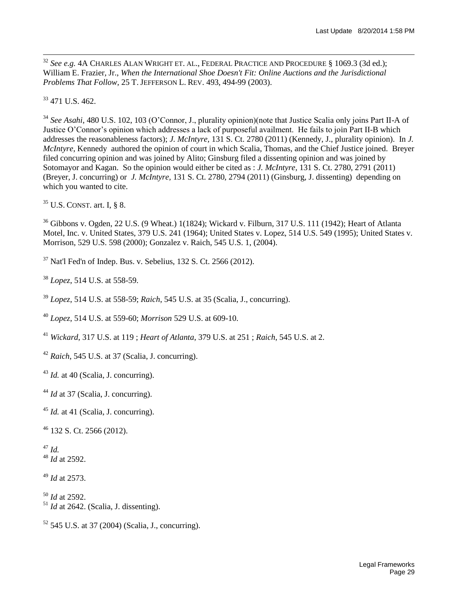<sup>32</sup> *See e.g.* 4A CHARLES ALAN WRIGHT ET. AL., FEDERAL PRACTICE AND PROCEDURE § 1069.3 (3d ed.); William E. Frazier, Jr., *When the International Shoe Doesn't Fit: Online Auctions and the Jurisdictional Problems That Follow,* 25 T. JEFFERSON L. REV. 493, 494-99 (2003).

<sup>33</sup> 471 U.S. 462.

l

<sup>34</sup> *See Asahi*, 480 U.S. 102, 103 (O'Connor, J., plurality opinion)(note that Justice Scalia only joins Part II-A of Justice O'Connor's opinion which addresses a lack of purposeful availment. He fails to join Part II-B which addresses the reasonableness factors); *J. McIntyre,* 131 S. Ct. 2780 (2011) (Kennedy, J., plurality opinion). In *J. McIntyre*, Kennedy authored the opinion of court in which Scalia, Thomas, and the Chief Justice joined. Breyer filed concurring opinion and was joined by Alito; Ginsburg filed a dissenting opinion and was joined by Sotomayor and Kagan. So the opinion would either be cited as : *J. McIntyre,* 131 S. Ct. 2780, 2791 (2011) (Breyer, J. concurring) or *J. McIntyre,* 131 S. Ct. 2780, 2794 (2011) (Ginsburg, J. dissenting) depending on which you wanted to cite.

 $35$  U.S. CONST. art. I, § 8.

<sup>36</sup> Gibbons v. Ogden, 22 U.S. (9 Wheat.) 1(1824); Wickard v. Filburn, 317 U.S. 111 (1942); Heart of Atlanta Motel, Inc. v. United States, 379 U.S. 241 (1964); United States v. Lopez, 514 U.S. 549 (1995); United States v. Morrison, 529 U.S. 598 (2000); Gonzalez v. Raich, 545 U.S. 1, (2004).

 $37$  Nat'l Fed'n of Indep. Bus. v. Sebelius, 132 S. Ct. 2566 (2012).

<sup>38</sup> *Lopez*, 514 U.S. at 558-59.

<sup>39</sup> *Lopez*, 514 U.S. at 558-59; *Raich*, 545 U.S. at 35 (Scalia, J., concurring).

<sup>40</sup> *Lopez*, 514 U.S. at 559-60; *Morrison* 529 U.S. at 609-10.

<sup>41</sup> *Wickard*, 317 U.S. at 119 ; *Heart of Atlanta*, 379 U.S. at 251 ; *Raich*, 545 U.S. at 2.

<sup>42</sup> *Raich*, 545 U.S. at 37 (Scalia, J. concurring).

<sup>43</sup> *Id.* at 40 (Scalia, J. concurring).

<sup>44</sup> *Id* at 37 (Scalia, J. concurring).

<sup>45</sup> *Id.* at 41 (Scalia, J. concurring).

<sup>46</sup> 132 S. Ct. 2566 (2012).

<sup>47</sup> *Id.* <sup>48</sup> *Id* at 2592.

<sup>49</sup> *Id* at 2573.

<sup>50</sup> *Id* at 2592.  $^{51}$  *Id* at 2642. (Scalia, J. dissenting).

 $52$  545 U.S. at 37 (2004) (Scalia, J., concurring).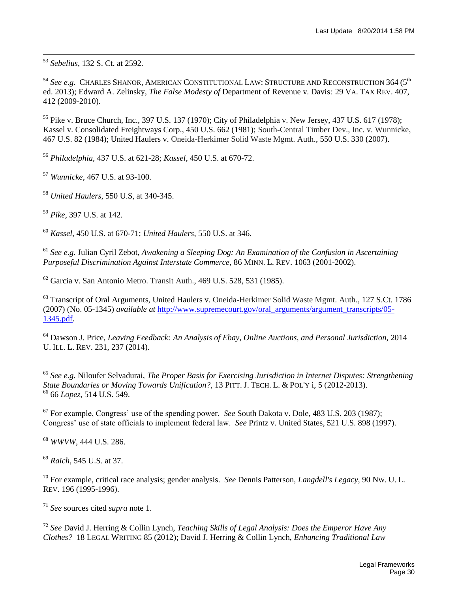<sup>53</sup> *Sebelius*, 132 S. Ct. at 2592.

l

<sup>54</sup> See e.g. CHARLES SHANOR, AMERICAN CONSTITUTIONAL LAW: STRUCTURE AND RECONSTRUCTION 364 (5<sup>th</sup> ed. 2013); Edward A. Zelinsky, *The False Modesty of* Department of Revenue v. Davis*:* 29 VA. TAX REV. 407, 412 (2009-2010).

<sup>55</sup> Pike v. Bruce Church, Inc., 397 U.S. 137 (1970); City of Philadelphia v. New Jersey, 437 U.S. 617 (1978); Kassel v. Consolidated Freightways Corp., 450 U.S. 662 (1981); South-Central Timber Dev., Inc. v. Wunnicke, 467 U.S. 82 (1984); United Haulers v. Oneida-Herkimer Solid Waste Mgmt. Auth., 550 U.S. 330 (2007).

<sup>56</sup> *Philadelphia,* 437 U.S. at 621-28; *Kassel*, 450 U.S. at 670-72.

<sup>57</sup> *Wunnicke*, 467 U.S. at 93-100.

<sup>58</sup> *United Haulers*, 550 U.S, at 340-345.

<sup>59</sup> *Pike*, 397 U.S. at 142.

<sup>60</sup> *Kassel*, 450 U.S. at 670-71; *United Haulers*, 550 U.S. at 346.

<sup>61</sup> *See e.g.* Julian Cyril Zebot, *Awakening a Sleeping Dog: An Examination of the Confusion in Ascertaining Purposeful Discrimination Against Interstate Commerce*, 86 MINN. L. REV. 1063 (2001-2002).

 $62$  Garcia v. San Antonio Metro. Transit Auth., 469 U.S. 528, 531 (1985).

<sup>63</sup> Transcript of Oral Arguments, United Haulers v. Oneida-Herkimer Solid Waste Mgmt. Auth., 127 S.Ct. 1786 (2007) (No. 05-1345) *available at* [http://www.supremecourt.gov/oral\\_arguments/argument\\_transcripts/05-](http://www.supremecourt.gov/oral_arguments/argument_transcripts/05-1345.pdf) [1345.pdf.](http://www.supremecourt.gov/oral_arguments/argument_transcripts/05-1345.pdf)

<sup>64</sup> Dawson J. Price, *Leaving Feedback: An Analysis of Ebay, Online Auctions, and Personal Jurisdiction,* 2014 U. ILL. L. REV. 231, 237 (2014).

<sup>65</sup> *See e.g.* Niloufer Selvadurai, *The Proper Basis for Exercising Jurisdiction in Internet Disputes: Strengthening State Boundaries or Moving Towards Unification?,* 13 PITT. J. TECH. L. & POL'Y i, 5 (2012-2013). <sup>66</sup> 66 *Lopez*, 514 U.S. 549.

<sup>67</sup> For example, Congress' use of the spending power. *See* South Dakota v. Dole, 483 U.S. 203 (1987); Congress' use of state officials to implement federal law. *See* Printz v. United States, 521 U.S. 898 (1997).

<sup>68</sup> *WWVW*, 444 U.S. 286.

<sup>69</sup> *Raich*, 545 U.S. at 37.

<sup>70</sup> For example, critical race analysis; gender analysis. *See* Dennis Patterson, *Langdell's Legacy*, 90 NW. U. L. REV. 196 (1995-1996).

<sup>71</sup> *See* sources cited *supra* note 1.

<sup>72</sup> *See* David J. Herring & Collin Lynch, *Teaching Skills of Legal Analysis: Does the Emperor Have Any Clothes?* 18 LEGAL WRITING 85 (2012); David J. Herring & Collin Lynch, *Enhancing Traditional Law*